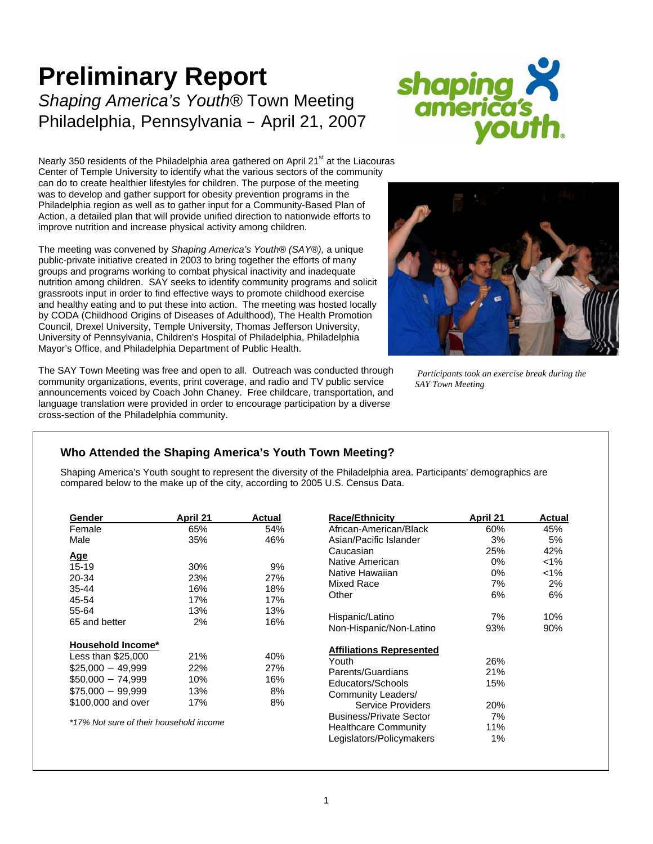# **Preliminary Report**  *Shaping America's Youth®* Town Meeting Philadelphia, Pennsylvania – April 21, 2007



Nearly 350 residents of the Philadelphia area gathered on April 21 $\mathrm{^{st}}$  at the Liacouras Center of Temple University to identify what the various sectors of the community can do to create healthier lifestyles for children. The purpose of the meeting was to develop and gather support for obesity prevention programs in the Philadelphia region as well as to gather input for a Community-Based Plan of Action, a detailed plan that will provide unified direction to nationwide efforts to improve nutrition and increase physical activity among children.

The meeting was convened by *Shaping America's Youth® (SAY®),* a unique public-private initiative created in 2003 to bring together the efforts of many groups and programs working to combat physical inactivity and inadequate nutrition among children. SAY seeks to identify community programs and solicit grassroots input in order to find effective ways to promote childhood exercise and healthy eating and to put these into action. The meeting was hosted locally by CODA (Childhood Origins of Diseases of Adulthood), The Health Promotion Council, Drexel University, Temple University, Thomas Jefferson University, University of Pennsylvania, Children's Hospital of Philadelphia, Philadelphia Mayor's Office, and Philadelphia Department of Public Health.

The SAY Town Meeting was free and open to all. Outreach was conducted through community organizations, events, print coverage, and radio and TV public service announcements voiced by Coach John Chaney. Free childcare, transportation, and language translation were provided in order to encourage participation by a diverse cross-section of the Philadelphia community.



 *Participants took an exercise break during the SAY Town Meeting* 

# **Who Attended the Shaping America's Youth Town Meeting?**

Shaping America's Youth sought to represent the diversity of the Philadelphia area. Participants' demographics are compared below to the make up of the city, according to 2005 U.S. Census Data.

| Gender                                  | April 21 | <b>Actual</b> |  |
|-----------------------------------------|----------|---------------|--|
| Female                                  | 65%      | 54%           |  |
| Male                                    | 35%      | 46%           |  |
| Age                                     |          |               |  |
| 15-19                                   | 30%      | 9%            |  |
| 20-34                                   | 23%      | 27%           |  |
| 35-44                                   | 16%      | 18%           |  |
| 45-54                                   | 17%      | 17%           |  |
| 55-64                                   | 13%      | 13%           |  |
| 65 and better                           | 2%       | 16%           |  |
| <b>Household Income*</b>                |          |               |  |
| Less than \$25,000                      | 21%      | 40%           |  |
| $$25,000 - 49,999$                      | 22%      | 27%           |  |
| $$50,000 - 74,999$                      | 10%      | 16%           |  |
| $$75,000 - 99,999$                      | 13%      | 8%            |  |
| \$100,000 and over                      | 17%      | 8%            |  |
| *17% Not sure of their household income |          |               |  |

| <b>Race/Ethnicity</b>           | April 21 | Actual  |
|---------------------------------|----------|---------|
| African-American/Black          | 60%      | 45%     |
| Asian/Pacific Islander          | 3%       | 5%      |
| Caucasian                       | 25%      | 42%     |
| Native American                 | 0%       | $< 1\%$ |
| Native Hawaiian                 | 0%       | $< 1\%$ |
| Mixed Race                      | 7%       | 2%      |
| Other                           | 6%       | 6%      |
| Hispanic/Latino                 | 7%       | 10%     |
| Non-Hispanic/Non-Latino         | 93%      | 90%     |
| <b>Affiliations Represented</b> |          |         |
| Youth                           | 26%      |         |
| Parents/Guardians               | 21%      |         |
| Educators/Schools               | 15%      |         |
| Community Leaders/              |          |         |
| Service Providers               | 20%      |         |
| <b>Business/Private Sector</b>  | 7%       |         |
| <b>Healthcare Community</b>     | 11%      |         |
| Legislators/Policymakers        | $1\%$    |         |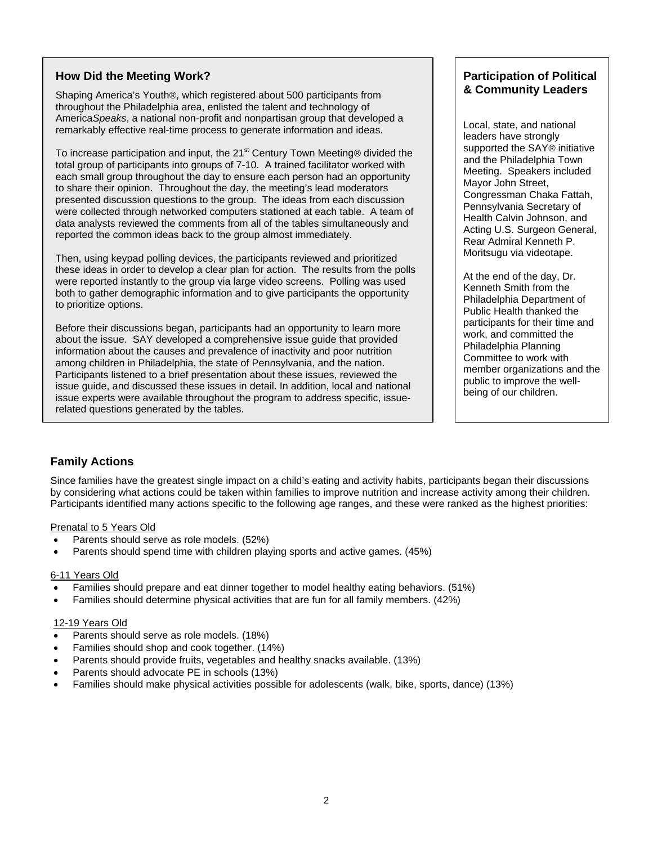## **How Did the Meeting Work?**

Shaping America's Youth*®*, which registered about 500 participants from throughout the Philadelphia area, enlisted the talent and technology of America*Speaks*, a national non-profit and nonpartisan group that developed a remarkably effective real-time process to generate information and ideas.

To increase participation and input, the  $21<sup>st</sup>$  Century Town Meeting® divided the total group of participants into groups of 7-10. A trained facilitator worked with each small group throughout the day to ensure each person had an opportunity to share their opinion. Throughout the day, the meeting's lead moderators presented discussion questions to the group. The ideas from each discussion were collected through networked computers stationed at each table. A team of data analysts reviewed the comments from all of the tables simultaneously and reported the common ideas back to the group almost immediately.

Then, using keypad polling devices, the participants reviewed and prioritized these ideas in order to develop a clear plan for action. The results from the polls were reported instantly to the group via large video screens. Polling was used both to gather demographic information and to give participants the opportunity to prioritize options.

Before their discussions began, participants had an opportunity to learn more about the issue. SAY developed a comprehensive issue guide that provided information about the causes and prevalence of inactivity and poor nutrition among children in Philadelphia, the state of Pennsylvania, and the nation. Participants listened to a brief presentation about these issues, reviewed the issue guide, and discussed these issues in detail. In addition, local and national issue experts were available throughout the program to address specific, issuerelated questions generated by the tables.

# **Participation of Political & Community Leaders**

Local, state, and national leaders have strongly supported the SAY*®* initiative and the Philadelphia Town Meeting. Speakers included Mayor John Street, Congressman Chaka Fattah, Pennsylvania Secretary of Health Calvin Johnson, and Acting U.S. Surgeon General, Rear Admiral Kenneth P. Moritsugu via videotape.

At the end of the day, Dr. Kenneth Smith from the Philadelphia Department of Public Health thanked the participants for their time and work, and committed the Philadelphia Planning Committee to work with member organizations and the public to improve the wellbeing of our children.

# **Family Actions**

Since families have the greatest single impact on a child's eating and activity habits, participants began their discussions by considering what actions could be taken within families to improve nutrition and increase activity among their children. Participants identified many actions specific to the following age ranges, and these were ranked as the highest priorities:

### Prenatal to 5 Years Old

- Parents should serve as role models. (52%)
- Parents should spend time with children playing sports and active games. (45%)

### 6-11 Years Old

- Families should prepare and eat dinner together to model healthy eating behaviors. (51%)
- Families should determine physical activities that are fun for all family members. (42%)

### 12-19 Years Old

- Parents should serve as role models. (18%)
- Families should shop and cook together. (14%)
- Parents should provide fruits, vegetables and healthy snacks available. (13%)
- Parents should advocate PE in schools (13%)
- Families should make physical activities possible for adolescents (walk, bike, sports, dance) (13%)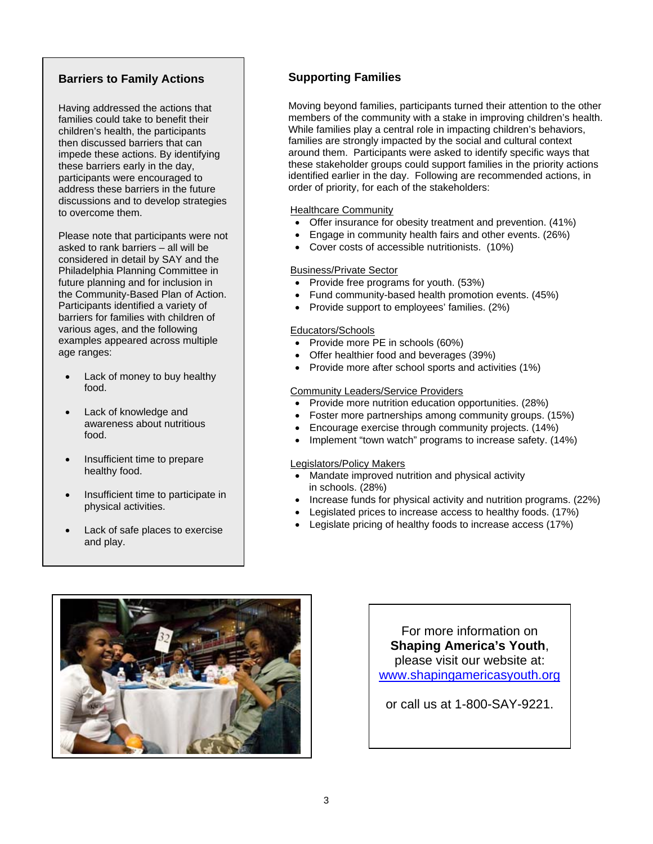# **Barriers to Family Actions**

Having addressed the actions that families could take to benefit their children's health, the participants then discussed barriers that can impede these actions. By identifying these barriers early in the day, participants were encouraged to address these barriers in the future discussions and to develop strategies to overcome them.

Please note that participants were not asked to rank barriers – all will be considered in detail by SAY and the Philadelphia Planning Committee in future planning and for inclusion in the Community-Based Plan of Action. Participants identified a variety of barriers for families with children of various ages, and the following examples appeared across multiple age ranges:

- Lack of money to buy healthy food.
- Lack of knowledge and awareness about nutritious food.
- Insufficient time to prepare healthy food.
- Insufficient time to participate in physical activities.
- Lack of safe places to exercise and play.

# **Supporting Families**

Moving beyond families, participants turned their attention to the other members of the community with a stake in improving children's health. While families play a central role in impacting children's behaviors, families are strongly impacted by the social and cultural context around them. Participants were asked to identify specific ways that these stakeholder groups could support families in the priority actions identified earlier in the day. Following are recommended actions, in order of priority, for each of the stakeholders:

### Healthcare Community

- Offer insurance for obesity treatment and prevention. (41%)
- Engage in community health fairs and other events. (26%)
- Cover costs of accessible nutritionists. (10%)

### Business/Private Sector

- Provide free programs for youth. (53%)
- Fund community-based health promotion events. (45%)
- Provide support to employees' families. (2%)

### Educators/Schools

- Provide more PE in schools (60%)
- Offer healthier food and beverages (39%)
- Provide more after school sports and activities (1%)

### Community Leaders/Service Providers

- Provide more nutrition education opportunities. (28%)
- Foster more partnerships among community groups. (15%)
- Encourage exercise through community projects. (14%)
- Implement "town watch" programs to increase safety. (14%)

### Legislators/Policy Makers

- Mandate improved nutrition and physical activity in schools. (28%)
- Increase funds for physical activity and nutrition programs. (22%)
- Legislated prices to increase access to healthy foods. (17%)
- Legislate pricing of healthy foods to increase access (17%)



For more information on **Shaping America's Youth**, please visit our website at: www.shapingamericasyouth.org

or call us at 1-800-SAY-9221.